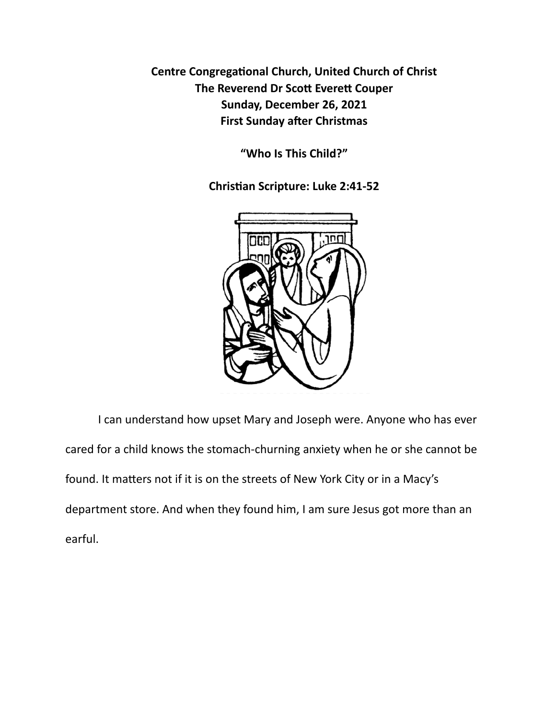**Centre Congregational Church, United Church of Christ The Reverend Dr Scott Everett Couper Sunday, December 26, 2021 First Sunday after Christmas** 

**"Who Is This Child?"** 

**Chris\*an Scripture: Luke 2:41-52** 



I can understand how upset Mary and Joseph were. Anyone who has ever cared for a child knows the stomach-churning anxiety when he or she cannot be found. It matters not if it is on the streets of New York City or in a Macy's department store. And when they found him, I am sure Jesus got more than an earful.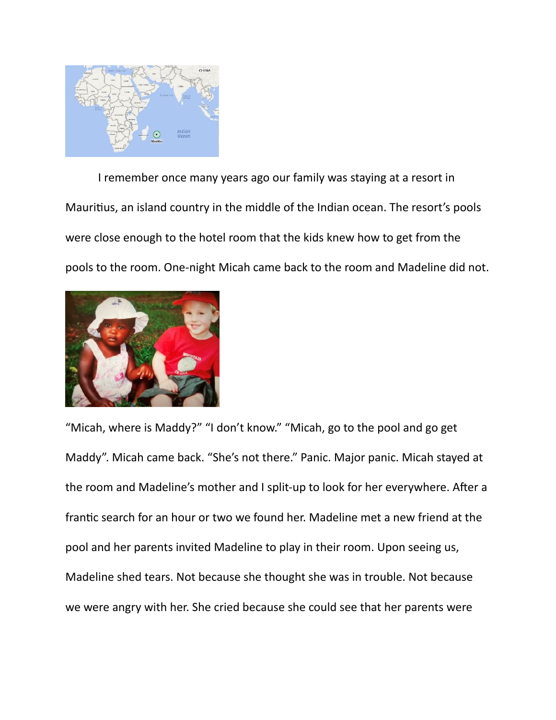

I remember once many years ago our family was staying at a resort in Mauritius, an island country in the middle of the Indian ocean. The resort's pools were close enough to the hotel room that the kids knew how to get from the pools to the room. One-night Micah came back to the room and Madeline did not.



"Micah, where is Maddy?" "I don't know." "Micah, go to the pool and go get Maddy". Micah came back. "She's not there." Panic. Major panic. Micah stayed at the room and Madeline's mother and I split-up to look for her everywhere. After a frantic search for an hour or two we found her. Madeline met a new friend at the pool and her parents invited Madeline to play in their room. Upon seeing us, Madeline shed tears. Not because she thought she was in trouble. Not because we were angry with her. She cried because she could see that her parents were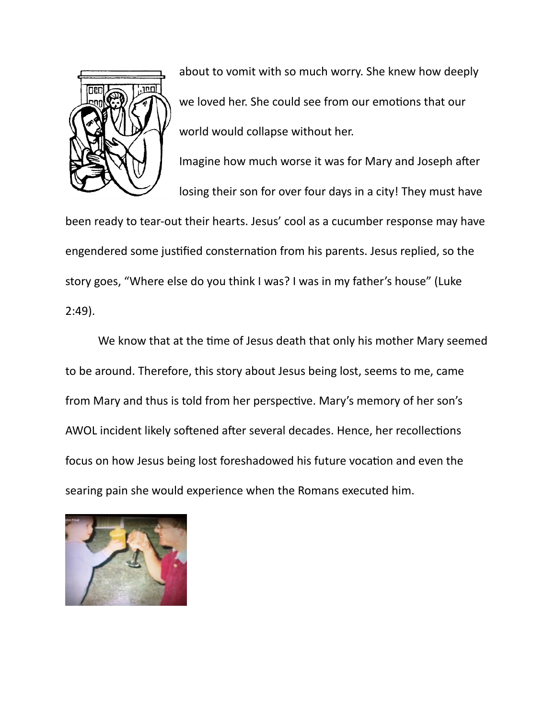

about to vomit with so much worry. She knew how deeply we loved her. She could see from our emotions that our world would collapse without her.

Imagine how much worse it was for Mary and Joseph after losing their son for over four days in a city! They must have

been ready to tear-out their hearts. Jesus' cool as a cucumber response may have engendered some justified consternation from his parents. Jesus replied, so the story goes, "Where else do you think I was? I was in my father's house" (Luke 2:49).

We know that at the time of Jesus death that only his mother Mary seemed to be around. Therefore, this story about Jesus being lost, seems to me, came from Mary and thus is told from her perspective. Mary's memory of her son's AWOL incident likely softened after several decades. Hence, her recollections focus on how Jesus being lost foreshadowed his future vocation and even the searing pain she would experience when the Romans executed him.

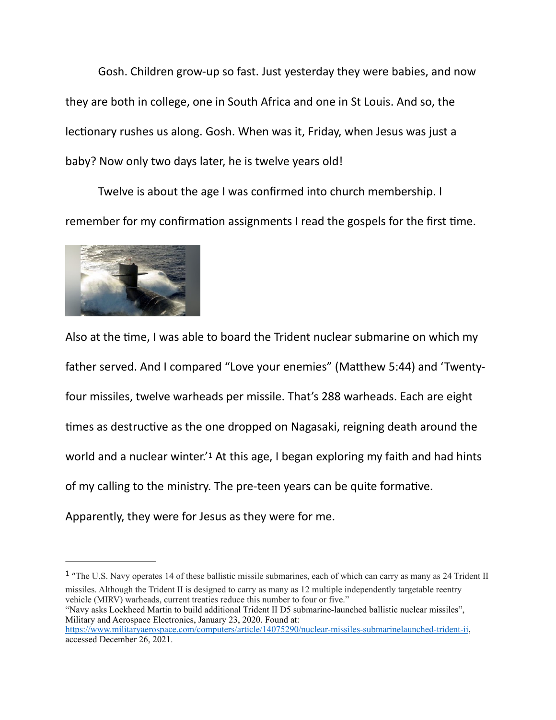Gosh. Children grow-up so fast. Just yesterday they were babies, and now they are both in college, one in South Africa and one in St Louis. And so, the lectionary rushes us along. Gosh. When was it, Friday, when Jesus was just a baby? Now only two days later, he is twelve years old!

Twelve is about the age I was confirmed into church membership. I remember for my confirmation assignments I read the gospels for the first time.



<span id="page-3-1"></span>Also at the time, I was able to board the Trident nuclear submarine on which my father served. And I compared "Love your enemies" (Matthew 5:44) and 'Twentyfour missiles, twelve warheads per missile. That's 288 warheads. Each are eight times as destructive as the one dropped on Nagasaki, reigning death around the world and a nuclear winter.<sup>['](#page-3-0)[1](#page-3-0)</sup> At this age, I began exploring my faith and had hints of my calling to the ministry. The pre-teen years can be quite formative. Apparently, they were for Jesus as they were for me.

<span id="page-3-0"></span><sup>[1](#page-3-1)</sup> "The U.S. Navy operates 14 of these ballistic missile submarines, each of which can carry as many as 24 Trident II missiles. Although the Trident II is designed to carry as many as 12 multiple independently targetable reentry vehicle (MIRV) warheads, current treaties reduce this number to four or five."

"Navy asks Lockheed Martin to build additional Trident II D5 submarine-launched ballistic nuclear missiles", Military and Aerospace Electronics, January 23, 2020. Found at:

<https://www.militaryaerospace.com/computers/article/14075290/nuclear-missiles-submarinelaunched-trident-ii>, accessed December 26, 2021.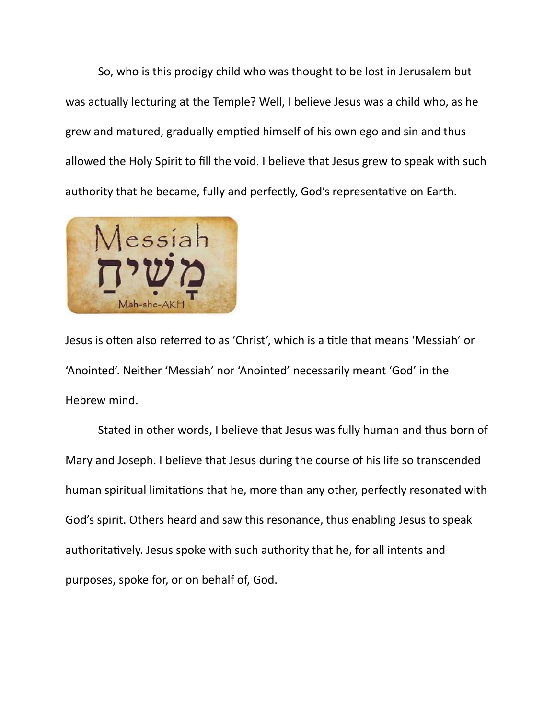So, who is this prodigy child who was thought to be lost in Jerusalem but was actually lecturing at the Temple? Well, I believe Jesus was a child who, as he grew and matured, gradually emptied himself of his own ego and sin and thus allowed the Holy Spirit to fill the void. I believe that Jesus grew to speak with such authority that he became, fully and perfectly, God's representative on Earth.



Jesus is often also referred to as 'Christ', which is a title that means 'Messiah' or 'Anointed'. Neither 'Messiah' nor 'Anointed' necessarily meant 'God' in the Hebrew mind.

Stated in other words, I believe that Jesus was fully human and thus born of Mary and Joseph. I believe that Jesus during the course of his life so transcended human spiritual limitations that he, more than any other, perfectly resonated with God's spirit. Others heard and saw this resonance, thus enabling Jesus to speak authoritatively. Jesus spoke with such authority that he, for all intents and purposes, spoke for, or on behalf of, God.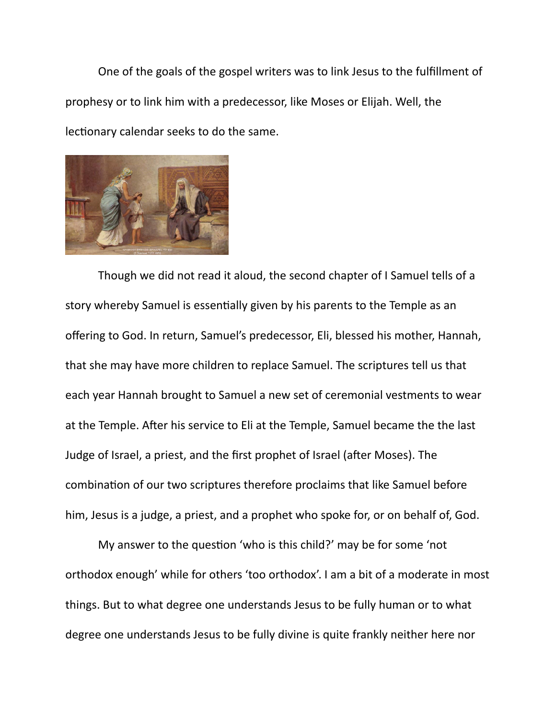One of the goals of the gospel writers was to link Jesus to the fulfillment of prophesy or to link him with a predecessor, like Moses or Elijah. Well, the lectionary calendar seeks to do the same.



Though we did not read it aloud, the second chapter of I Samuel tells of a story whereby Samuel is essentially given by his parents to the Temple as an offering to God. In return, Samuel's predecessor, Eli, blessed his mother, Hannah, that she may have more children to replace Samuel. The scriptures tell us that each year Hannah brought to Samuel a new set of ceremonial vestments to wear at the Temple. After his service to Eli at the Temple, Samuel became the the last Judge of Israel, a priest, and the first prophet of Israel (after Moses). The combination of our two scriptures therefore proclaims that like Samuel before him, Jesus is a judge, a priest, and a prophet who spoke for, or on behalf of, God.

My answer to the question 'who is this child?' may be for some 'not orthodox enough' while for others 'too orthodox'. I am a bit of a moderate in most things. But to what degree one understands Jesus to be fully human or to what degree one understands Jesus to be fully divine is quite frankly neither here nor